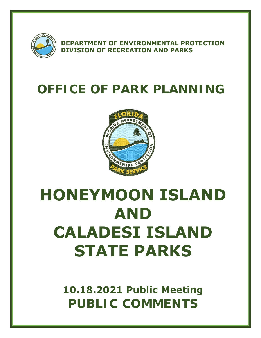

**DEPARTMENT OF ENVIRONMENTAL PROTECTION DIVISION OF RECREATION AND PARKS** 

# **OFFICE OF PARK PLANNING**



# **HONEYMOON ISLAND AND CALADESI ISLAND STATE PARKS**

**10.18.2021 Public Meeting PUBLIC COMMENTS**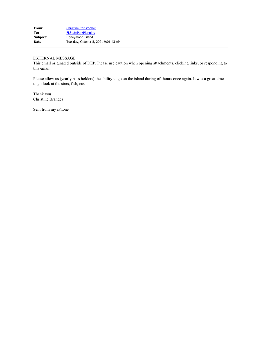This email originated outside of DEP. Please use caution when opening attachments, clicking links, or responding to this email.

Please allow us (yearly pass holders) the ability to go on the island during off hours once again. It was a great time to go look at the stars, fish, etc.

Thank you Christine Brandes

Sent from my iPhone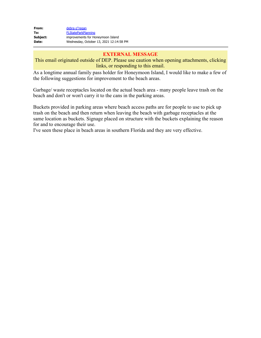| From:        | debra o"regan                           |
|--------------|-----------------------------------------|
| To:          | <b>FLStateParkPlanning</b>              |
| Subject:     | improvements for Honeymoon Island       |
| <b>Date:</b> | Wednesday, October 13, 2021 12:14:58 PM |

This email originated outside of DEP. Please use caution when opening attachments, clicking links, or responding to this email.

As a longtime annual family pass holder for Honeymoon Island, I would like to make a few of the following suggestions for improvement to the beach areas.

Garbage/ waste receptacles located on the actual beach area - many people leave trash on the beach and don't or won't carry it to the cans in the parking areas.

Buckets provided in parking areas where beach access paths are for people to use to pick up trash on the beach and then return when leaving the beach with garbage receptacles at the same location as buckets. Signage placed on structure with the buckets explaining the reason for and to encourage their use.

I've seen these place in beach areas in southern Florida and they are very effective.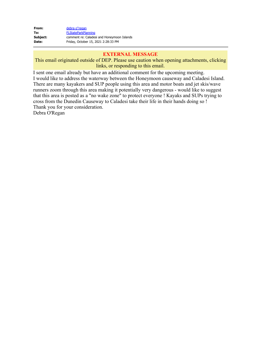| From:    | debra o"regan                              |
|----------|--------------------------------------------|
| To:      | <b>FLStateParkPlanning</b>                 |
| Subject: | comment re: Caladesi and Honeymoon Islands |
| Date:    | Friday, October 15, 2021 2:28:33 PM        |

This email originated outside of DEP. Please use caution when opening attachments, clicking links, or responding to this email.

I sent one email already but have an additional comment for the upcoming meeting. I would like to address the waterway between the Honeymoon causeway and Caladesi Island. There are many kayakers and SUP people using this area and motor boats and jet skis/wave runners zoom through this area making it potentially very dangerous - would like to suggest that this area is posted as a "no wake zone" to protect everyone ! Kayaks and SUPs trying to cross from the Dunedin Causeway to Caladesi take their life in their hands doing so ! Thank you for your consideration.

Debra O'Regan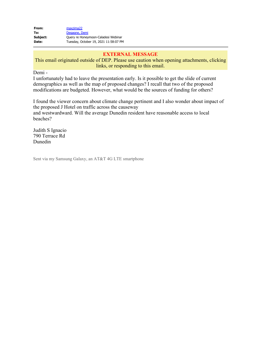| From:    | maxzima22                             |
|----------|---------------------------------------|
| To:      | Degagne, Demi                         |
| Subject: | Query re Honeymoon-Caladesi Webinar   |
| Date:    | Tuesday, October 19, 2021 11:58:07 PM |

This email originated outside of DEP. Please use caution when opening attachments, clicking links, or responding to this email.

Demi -

I unfortunately had to leave the presentation early. Is it possible to get the slide of current demographics as well as the map of proposed changes? I recall that two of the proposed modifications are budgeted. However, what would be the sources of funding for others?

I found the viewer concern about climate change pertinent and I also wonder about impact of the proposed J Hotel on traffic across the causeway and westwardward. Will the average Dunedin resident have reasonable access to local beaches?

Judith S Ignacio 790 Terrace Rd Dunedin

Sent via my Samsung Galaxy, an AT&T 4G LTE smartphone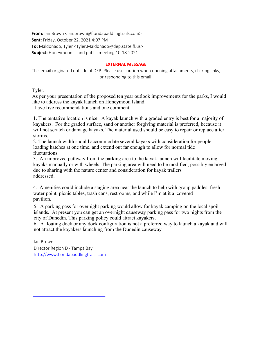**From:** Ian Brown <ian.brown@floridapaddlingtrails.com> **Sent:** Friday, October 22, 2021 4:07 PM **To:** Maldonado, Tyler <Tyler.Maldonado@dep.state.fl.us> **Subject:** Honeymoon Island public meeting 10-18-2021

#### **EXTERNAL MESSAGE**

This email originated outside of DEP. Please use caution when opening attachments, clicking links, or responding to this email.

Tyler,

As per your presentation of the proposed ten year outlook improvements for the parks, I would like to address the kayak launch on Honeymoon Island. I have five recommendations and one comment.

1. The tentative location is nice. A kayak launch with a graded entry is best for a majority of kayakers. For the graded surface, sand or another forgiving material is preferred, because it will not scratch or damage kayaks. The material used should be easy to repair or replace after storms.

2. The launch width should accommodate several kayaks with consideration for people loading hatches at one time. and extend out far enough to allow for normal tide fluctuations.

3. An improved pathway from the parking area to the kayak launch will facilitate moving kayaks manually or with wheels. The parking area will need to be modified, possibly enlarged due to sharing with the nature center and consideration for kayak trailers addressed.

4. Amenities could include a staging area near the launch to help with group paddles, fresh water point, picnic tables, trash cans, restrooms, and while I'm at it a covered pavilion.

5. A parking pass for overnight parking would allow for kayak camping on the local spoil islands. At present you can get an overnight causeway parking pass for two nights from the city of Dunedin. This parking policy could attract kayakers.

6. A floating dock or any dock configuration is not a preferred way to launch a kayak and will not attract the kayakers launching from the Dunedin causeway

Ian Brown Director Region D - Tampa Bay http://www.floridapaddlingtrails.com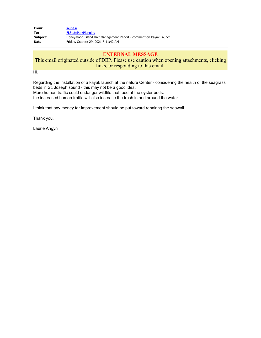| From:    | laurie a                                                          |
|----------|-------------------------------------------------------------------|
| To:      | <b>FLStateParkPlanning</b>                                        |
| Subject: | Honeymoon Island Unit Management Report - comment on Kayak Launch |
| Date:    | Friday, October 29, 2021 8:11:42 AM                               |

# This email originated outside of DEP. Please use caution when opening attachments, clicking links, or responding to this email.

Hi,

Regarding the installation of a kayak launch at the nature Center - considering the health of the seagrass beds in St. Joseph sound - this may not be a good idea.

More human traffic could endanger wildlife that feed at the oyster beds.

the increased human traffic will also increase the trash in and around the water.

I think that any money for improvement should be put toward repairing the seawall.

Thank you,

Laurie Angyn